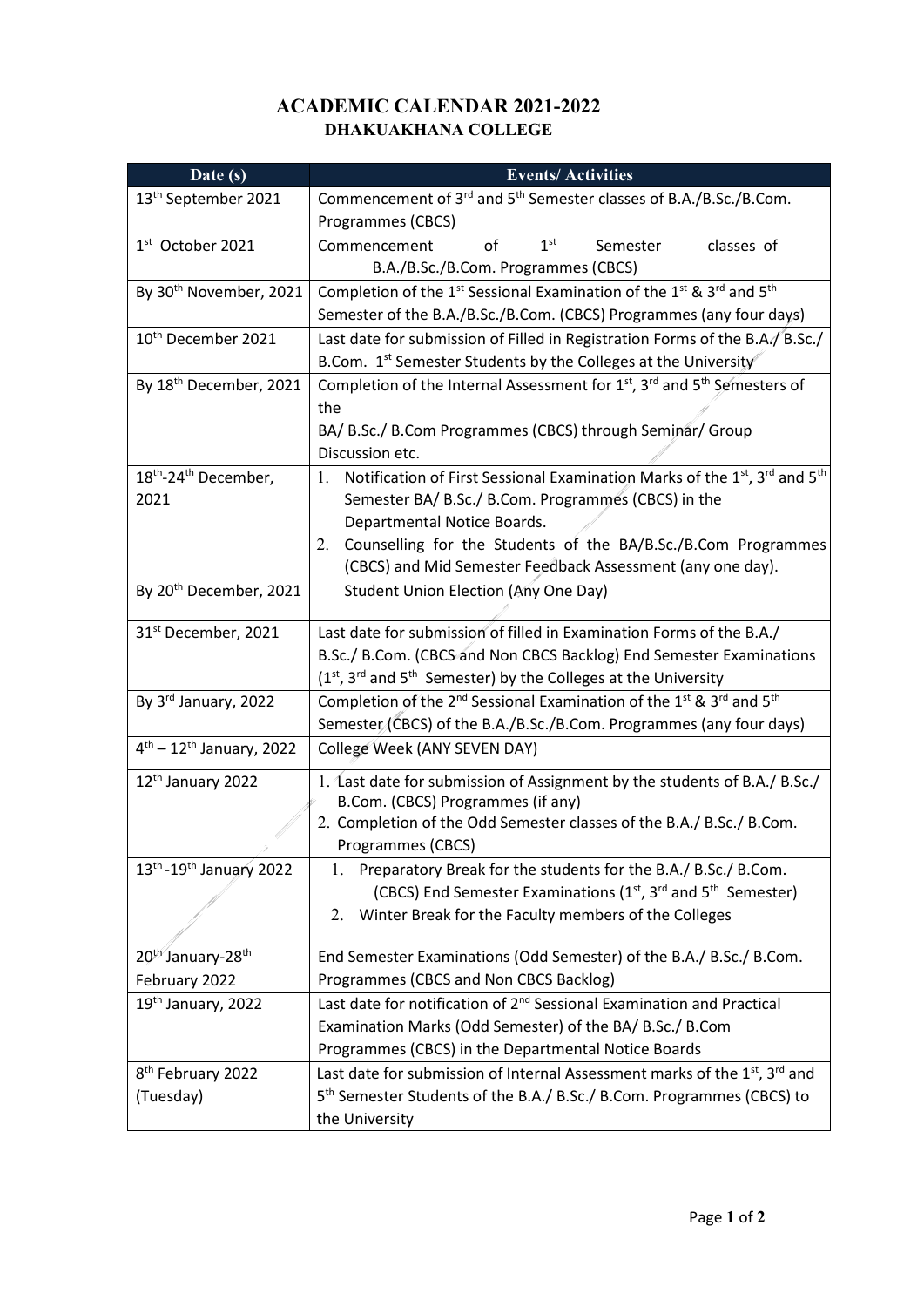## **ACADEMIC CALENDAR 2021-2022 DHAKUAKHANA COLLEGE**

| Date (s)                                        | <b>Events/Activities</b>                                                                                             |
|-------------------------------------------------|----------------------------------------------------------------------------------------------------------------------|
| 13 <sup>th</sup> September 2021                 | Commencement of 3 <sup>rd</sup> and 5 <sup>th</sup> Semester classes of B.A./B.Sc./B.Com.                            |
|                                                 | Programmes (CBCS)                                                                                                    |
| 1st October 2021                                | 1 <sup>st</sup><br>classes of<br>Commencement<br>of<br>Semester                                                      |
|                                                 | B.A./B.Sc./B.Com. Programmes (CBCS)                                                                                  |
| By 30 <sup>th</sup> November, 2021              | Completion of the 1 <sup>st</sup> Sessional Examination of the 1 <sup>st</sup> & 3 <sup>rd</sup> and 5 <sup>th</sup> |
|                                                 | Semester of the B.A./B.Sc./B.Com. (CBCS) Programmes (any four days)                                                  |
| 10 <sup>th</sup> December 2021                  | Last date for submission of Filled in Registration Forms of the B.A./B.Sc./                                          |
|                                                 | B.Com. 1st Semester Students by the Colleges at the University                                                       |
| By 18 <sup>th</sup> December, 2021              | Completion of the Internal Assessment for $1st$ , $3rd$ and $5th$ Semesters of                                       |
|                                                 | the                                                                                                                  |
|                                                 | BA/ B.Sc./ B.Com Programmes (CBCS) through Seminar/ Group                                                            |
|                                                 | Discussion etc.                                                                                                      |
| 18 <sup>th</sup> -24 <sup>th</sup> December,    | Notification of First Sessional Examination Marks of the 1st, 3rd and 5th<br>$1_{\cdot}$                             |
| 2021                                            | Semester BA/ B.Sc./ B.Com. Programmes (CBCS) in the                                                                  |
|                                                 | Departmental Notice Boards.                                                                                          |
|                                                 | 2. Counselling for the Students of the BA/B.Sc./B.Com Programmes                                                     |
|                                                 | (CBCS) and Mid Semester Feedback Assessment (any one day).                                                           |
| By 20 <sup>th</sup> December, 2021              | <b>Student Union Election (Any One Day)</b>                                                                          |
| 31 <sup>st</sup> December, 2021                 | Last date for submission of filled in Examination Forms of the B.A./                                                 |
|                                                 | B.Sc./ B.Com. (CBCS and Non CBCS Backlog) End Semester Examinations                                                  |
|                                                 | $(1st, 3rd$ and $5th$ Semester) by the Colleges at the University                                                    |
| By 3rd January, 2022                            | Completion of the 2 <sup>nd</sup> Sessional Examination of the 1 <sup>st</sup> & 3 <sup>rd</sup> and 5 <sup>th</sup> |
|                                                 | Semester (CBCS) of the B.A./B.Sc./B.Com. Programmes (any four days)                                                  |
| $4^{th} - 12^{th}$ January, 2022                | College Week (ANY SEVEN DAY)                                                                                         |
| 12 <sup>th</sup> January 2022                   | 1. Last date for submission of Assignment by the students of B.A./ B.Sc./<br>B.Com. (CBCS) Programmes (if any)       |
|                                                 | 2. Completion of the Odd Semester classes of the B.A./ B.Sc./ B.Com.                                                 |
|                                                 | Programmes (CBCS)                                                                                                    |
| 13 <sup>th</sup> -19 <sup>th</sup> January 2022 | Preparatory Break for the students for the B.A./ B.Sc./ B.Com.<br>1.                                                 |
|                                                 | (CBCS) End Semester Examinations (1 <sup>st</sup> , 3 <sup>rd</sup> and 5 <sup>th</sup> Semester)                    |
|                                                 | Winter Break for the Faculty members of the Colleges<br>2.                                                           |
|                                                 |                                                                                                                      |
| 20 <sup>th</sup> January-28 <sup>th</sup>       | End Semester Examinations (Odd Semester) of the B.A./ B.Sc./ B.Com.                                                  |
| February 2022                                   | Programmes (CBCS and Non CBCS Backlog)                                                                               |
| 19th January, 2022                              | Last date for notification of 2 <sup>nd</sup> Sessional Examination and Practical                                    |
|                                                 | Examination Marks (Odd Semester) of the BA/ B.Sc./ B.Com                                                             |
|                                                 | Programmes (CBCS) in the Departmental Notice Boards                                                                  |
| 8 <sup>th</sup> February 2022                   | Last date for submission of Internal Assessment marks of the 1st, 3rd and                                            |
| (Tuesday)                                       | 5 <sup>th</sup> Semester Students of the B.A./ B.Sc./ B.Com. Programmes (CBCS) to                                    |
|                                                 | the University                                                                                                       |